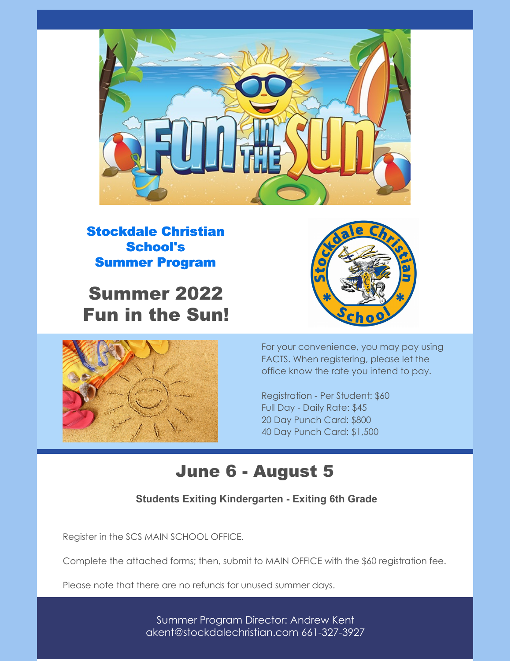

Stockdale Christian School's Summer Program

## Summer 2022 Fun in the Sun!





For your convenience, you may pay using FACTS. When registering, please let the office know the rate you intend to pay.

Registration - Per Student: \$60 Full Day - Daily Rate: \$45 20 Day Punch Card: \$800 40 Day Punch Card: \$1,500

## June 6 - August 5

#### **Students Exiting Kindergarten - Exiting 6th Grade**

Register in the SCS MAIN SCHOOL OFFICE.

Complete the attached forms; then, submit to MAIN OFFICE with the \$60 registration fee.

Please note that there are no refunds for unused summer days.

Summer Program Director: Andrew Kent akent@stockdalechristian.com 661-327-3927